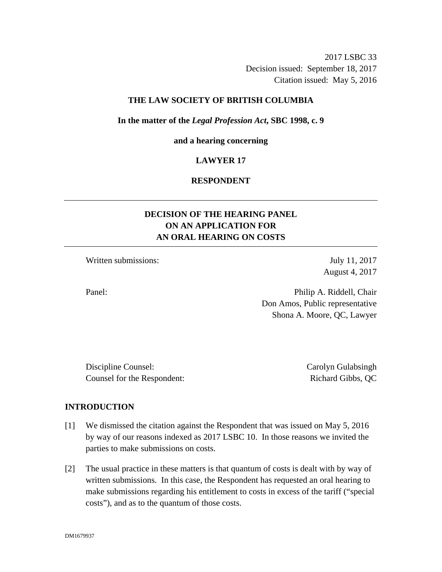2017 LSBC 33 Decision issued: September 18, 2017 Citation issued: May 5, 2016

## **THE LAW SOCIETY OF BRITISH COLUMBIA**

#### **In the matter of the** *Legal Profession Act***, SBC 1998, c. 9**

#### **and a hearing concerning**

## **LAWYER 17**

# **RESPONDENT**

# **DECISION OF THE HEARING PANEL ON AN APPLICATION FOR AN ORAL HEARING ON COSTS**

Written submissions: July 11, 2017

August 4, 2017

Panel: Philip A. Riddell, Chair Don Amos, Public representative Shona A. Moore, QC, Lawyer

Discipline Counsel: Carolyn Gulabsingh Counsel for the Respondent: Richard Gibbs, QC

## **INTRODUCTION**

- [1] We dismissed the citation against the Respondent that was issued on May 5, 2016 by way of our reasons indexed as 2017 LSBC 10. In those reasons we invited the parties to make submissions on costs.
- [2] The usual practice in these matters is that quantum of costs is dealt with by way of written submissions. In this case, the Respondent has requested an oral hearing to make submissions regarding his entitlement to costs in excess of the tariff ("special costs"), and as to the quantum of those costs.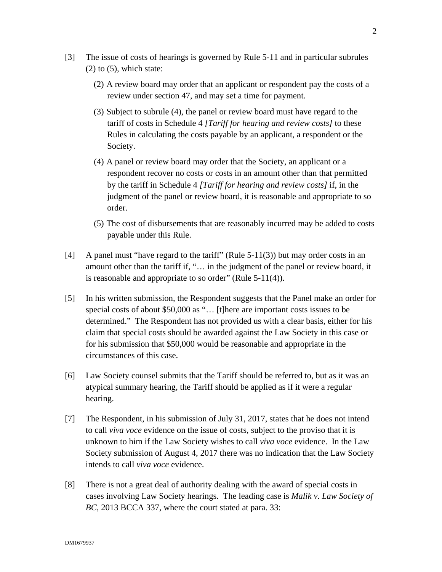- [3] The issue of costs of hearings is governed by Rule 5-11 and in particular subrules  $(2)$  to  $(5)$ , which state:
	- (2) A review board may order that an applicant or respondent pay the costs of a review under section 47, and may set a time for payment.
	- (3) Subject to subrule (4), the panel or review board must have regard to the tariff of costs in Schedule 4 *[Tariff for hearing and review costs]* to these Rules in calculating the costs payable by an applicant, a respondent or the Society.
	- (4) A panel or review board may order that the Society, an applicant or a respondent recover no costs or costs in an amount other than that permitted by the tariff in Schedule 4 *[Tariff for hearing and review costs]* if, in the judgment of the panel or review board, it is reasonable and appropriate to so order.
	- (5) The cost of disbursements that are reasonably incurred may be added to costs payable under this Rule.
- [4] A panel must "have regard to the tariff" (Rule 5-11(3)) but may order costs in an amount other than the tariff if, "… in the judgment of the panel or review board, it is reasonable and appropriate to so order" (Rule  $5-11(4)$ ).
- [5] In his written submission, the Respondent suggests that the Panel make an order for special costs of about \$50,000 as "... [t]here are important costs issues to be determined." The Respondent has not provided us with a clear basis, either for his claim that special costs should be awarded against the Law Society in this case or for his submission that \$50,000 would be reasonable and appropriate in the circumstances of this case.
- [6] Law Society counsel submits that the Tariff should be referred to, but as it was an atypical summary hearing, the Tariff should be applied as if it were a regular hearing.
- [7] The Respondent, in his submission of July 31, 2017, states that he does not intend to call *viva voce* evidence on the issue of costs, subject to the proviso that it is unknown to him if the Law Society wishes to call *viva voce* evidence. In the Law Society submission of August 4, 2017 there was no indication that the Law Society intends to call *viva voce* evidence.
- [8] There is not a great deal of authority dealing with the award of special costs in cases involving Law Society hearings. The leading case is *Malik v. Law Society of BC,* 2013 BCCA 337*,* where the court stated at para. 33: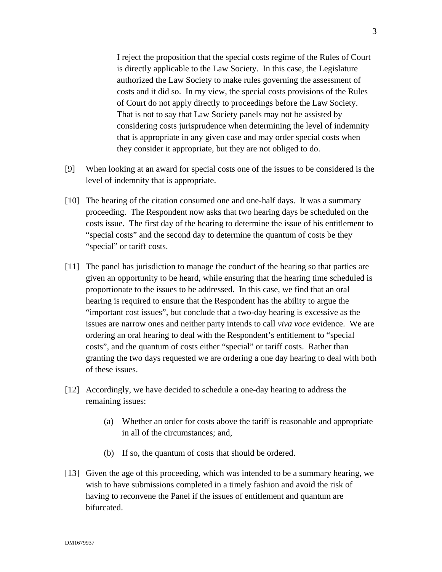I reject the proposition that the special costs regime of the Rules of Court is directly applicable to the Law Society. In this case, the Legislature authorized the Law Society to make rules governing the assessment of costs and it did so. In my view, the special costs provisions of the Rules of Court do not apply directly to proceedings before the Law Society. That is not to say that Law Society panels may not be assisted by considering costs jurisprudence when determining the level of indemnity that is appropriate in any given case and may order special costs when they consider it appropriate, but they are not obliged to do.

- [9] When looking at an award for special costs one of the issues to be considered is the level of indemnity that is appropriate.
- [10] The hearing of the citation consumed one and one-half days. It was a summary proceeding. The Respondent now asks that two hearing days be scheduled on the costs issue. The first day of the hearing to determine the issue of his entitlement to "special costs" and the second day to determine the quantum of costs be they "special" or tariff costs.
- [11] The panel has jurisdiction to manage the conduct of the hearing so that parties are given an opportunity to be heard, while ensuring that the hearing time scheduled is proportionate to the issues to be addressed. In this case, we find that an oral hearing is required to ensure that the Respondent has the ability to argue the "important cost issues", but conclude that a two-day hearing is excessive as the issues are narrow ones and neither party intends to call *viva voce* evidence. We are ordering an oral hearing to deal with the Respondent's entitlement to "special costs", and the quantum of costs either "special" or tariff costs. Rather than granting the two days requested we are ordering a one day hearing to deal with both of these issues.
- [12] Accordingly, we have decided to schedule a one-day hearing to address the remaining issues:
	- (a) Whether an order for costs above the tariff is reasonable and appropriate in all of the circumstances; and,
	- (b) If so, the quantum of costs that should be ordered.
- [13] Given the age of this proceeding, which was intended to be a summary hearing, we wish to have submissions completed in a timely fashion and avoid the risk of having to reconvene the Panel if the issues of entitlement and quantum are bifurcated.